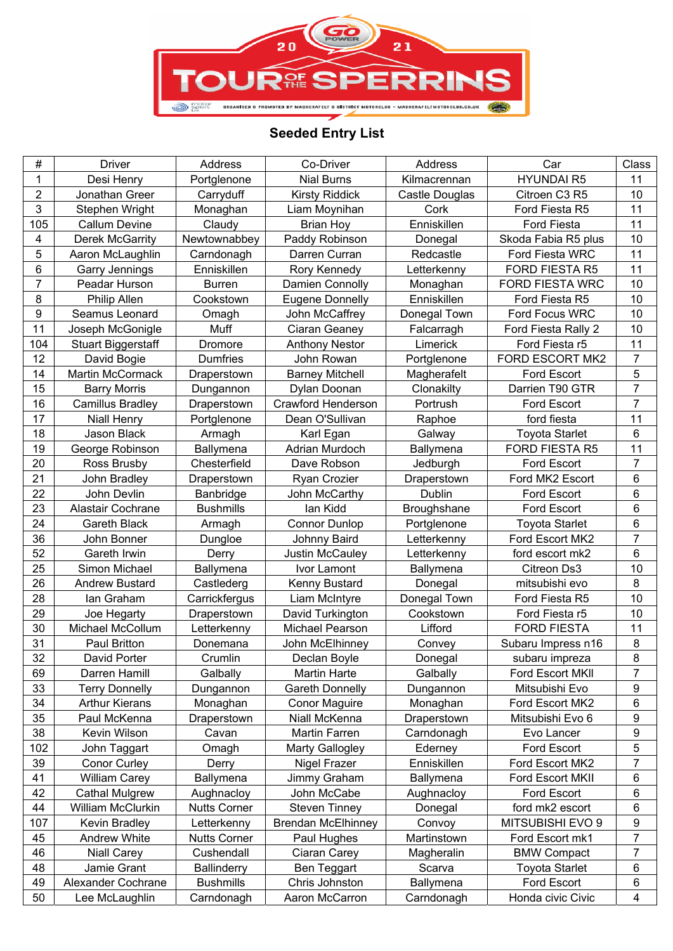

## **Seeded Entry List**

| 1<br>Desi Henry<br><b>HYUNDAI R5</b><br>11<br><b>Nial Burns</b><br>Kilmacrennan<br>Portglenone<br>2<br><b>Kirsty Riddick</b><br>Citroen C3 R5<br>10<br>Jonathan Greer<br>Carryduff<br>Castle Douglas<br>3<br>11<br>Stephen Wright<br>Liam Moynihan<br>Cork<br>Monaghan<br>Ford Fiesta R5<br>11<br>105<br>Enniskillen<br><b>Callum Devine</b><br>Claudy<br><b>Brian Hoy</b><br>Ford Fiesta<br>10<br>4<br><b>Derek McGarrity</b><br>Newtownabbey<br>Paddy Robinson<br>Skoda Fabia R5 plus<br>Donegal<br>5<br>11<br>Ford Fiesta WRC<br>Aaron McLaughlin<br>Carndonagh<br>Darren Curran<br>Redcastle<br>6<br>11<br>Garry Jennings<br>Enniskillen<br>FORD FIESTA R5<br>Rory Kennedy<br>Letterkenny<br>$\overline{7}$<br>10<br><b>Burren</b><br>FORD FIESTA WRC<br>Peadar Hurson<br>Damien Connolly<br>Monaghan<br>8<br>10<br>Philip Allen<br>Cookstown<br>Enniskillen<br>Ford Fiesta R5<br><b>Eugene Donnelly</b><br>$\boldsymbol{9}$<br>10<br>Seamus Leonard<br>Donegal Town<br>Ford Focus WRC<br>John McCaffrey<br>Omagh<br>11<br>Muff<br>10<br>Joseph McGonigle<br>Ciaran Geaney<br>Falcarragh<br>Ford Fiesta Rally 2<br>11<br>104<br>Limerick<br><b>Stuart Biggerstaff</b><br>Dromore<br><b>Anthony Nestor</b><br>Ford Fiesta r5<br>$\overline{7}$<br>12<br>FORD ESCORT MK2<br>David Bogie<br>Dumfries<br>John Rowan<br>Portglenone<br>5<br>14<br><b>Martin McCormack</b><br><b>Barney Mitchell</b><br>Ford Escort<br>Magherafelt<br>Draperstown<br>$\overline{7}$<br>15<br>Darrien T90 GTR<br><b>Barry Morris</b><br>Clonakilty<br>Dylan Doonan<br>Dungannon<br>$\overline{7}$<br>16<br>Camillus Bradley<br>Crawford Henderson<br>Portrush<br>Ford Escort<br>Draperstown<br>17<br>11<br>Dean O'Sullivan<br>ford fiesta<br><b>Niall Henry</b><br>Portglenone<br>Raphoe<br>6<br>18<br>Jason Black<br><b>Toyota Starlet</b><br>Armagh<br>Karl Egan<br>Galway<br>19<br>11<br>George Robinson<br>Ballymena<br>Adrian Murdoch<br>Ballymena<br><b>FORD FIESTA R5</b><br>$\overline{7}$<br>20<br>Ford Escort<br>Ross Brusby<br>Chesterfield<br>Dave Robson<br>Jedburgh<br>6<br>21<br>Ford MK2 Escort<br>John Bradley<br>Ryan Crozier<br>Draperstown<br>Draperstown<br>6<br>22<br>John Devlin<br>John McCarthy<br>Dublin<br>Ford Escort<br>Banbridge<br>6<br>23<br>Alastair Cochrane<br>lan Kidd<br>Broughshane<br>Ford Escort<br><b>Bushmills</b><br>6<br>24<br><b>Gareth Black</b><br><b>Toyota Starlet</b><br><b>Connor Dunlop</b><br>Portglenone<br>Armagh<br>$\overline{7}$<br>36<br>John Bonner<br>Letterkenny<br>Ford Escort MK2<br>Dungloe<br>Johnny Baird<br>52<br>6<br>Gareth Irwin<br>Derry<br>Justin McCauley<br>Letterkenny<br>ford escort mk2<br>25<br>10<br>Simon Michael<br>Ballymena<br>Citreon Ds3<br>Ivor Lamont<br><b>Ballymena</b><br>8<br>26<br><b>Andrew Bustard</b><br>Kenny Bustard<br>Donegal<br>Castlederg<br>mitsubishi evo<br>10<br>28<br>Donegal Town<br>Carrickfergus<br>Liam McIntyre<br>Ford Fiesta R5<br>lan Graham<br>29<br>10<br>Draperstown<br>David Turkington<br>Cookstown<br>Ford Fiesta r5<br>Joe Hegarty<br>30<br>11<br>Lifford<br><b>FORD FIESTA</b><br>Michael McCollum<br>Letterkenny<br>Michael Pearson<br>31<br>8<br>Paul Britton<br>John McElhinney<br>Subaru Impress n16<br>Convey<br>Donemana<br>8<br>32<br>David Porter<br>Crumlin<br>Declan Boyle<br>Donegal<br>subaru impreza<br>69<br>Darren Hamill<br><b>Martin Harte</b><br>Galbally<br>Galbally<br>Ford Escort MKII<br>7<br>33<br><b>Terry Donnelly</b><br>Mitsubishi Evo<br>9<br>Dungannon<br><b>Gareth Donnelly</b><br>Dungannon<br>34<br>Ford Escort MK2<br><b>Arthur Kierans</b><br>Monaghan<br><b>Conor Maguire</b><br>Monaghan<br>6<br>35<br>9<br>Paul McKenna<br>Draperstown<br>Niall McKenna<br>Draperstown<br>Mitsubishi Evo 6<br>$\boldsymbol{9}$<br>38<br>Kevin Wilson<br>Martin Farren<br>Cavan<br>Carndonagh<br>Evo Lancer<br>5<br>102<br>John Taggart<br>Ford Escort<br>Omagh<br>Marty Gallogley<br>Ederney<br>7<br>39<br>Enniskillen<br>Ford Escort MK2<br>Conor Curley<br>Nigel Frazer<br>Derry<br>41<br>6<br><b>William Carey</b><br>Ballymena<br>Ford Escort MKII<br>Ballymena<br>Jimmy Graham<br>6<br>42<br>John McCabe<br>Aughnacloy<br>Ford Escort<br><b>Cathal Mulgrew</b><br>Aughnacloy<br>44<br><b>Steven Tinney</b><br>ford mk2 escort<br>6<br>William McClurkin<br><b>Nutts Corner</b><br>Donegal<br>107<br>Kevin Bradley<br><b>Brendan McElhinney</b><br>MITSUBISHI EVO 9<br>9<br>Letterkenny<br>Convoy<br>7<br>45<br>Andrew White<br><b>Nutts Corner</b><br>Martinstown<br>Ford Escort mk1<br>Paul Hughes<br>$\overline{7}$<br>46<br>Cushendall<br>Ciaran Carey<br>Magheralin<br><b>BMW Compact</b><br><b>Niall Carey</b><br>6<br>48<br>Jamie Grant<br><b>Ballinderry</b><br>Ben Teggart<br>Scarva<br><b>Toyota Starlet</b><br>Chris Johnston<br>49<br>Alexander Cochrane<br><b>Bushmills</b><br>Ford Escort<br>6<br>Ballymena | #  | <b>Driver</b>  | Address    | Co-Driver      | Address    | Car               | Class |
|------------------------------------------------------------------------------------------------------------------------------------------------------------------------------------------------------------------------------------------------------------------------------------------------------------------------------------------------------------------------------------------------------------------------------------------------------------------------------------------------------------------------------------------------------------------------------------------------------------------------------------------------------------------------------------------------------------------------------------------------------------------------------------------------------------------------------------------------------------------------------------------------------------------------------------------------------------------------------------------------------------------------------------------------------------------------------------------------------------------------------------------------------------------------------------------------------------------------------------------------------------------------------------------------------------------------------------------------------------------------------------------------------------------------------------------------------------------------------------------------------------------------------------------------------------------------------------------------------------------------------------------------------------------------------------------------------------------------------------------------------------------------------------------------------------------------------------------------------------------------------------------------------------------------------------------------------------------------------------------------------------------------------------------------------------------------------------------------------------------------------------------------------------------------------------------------------------------------------------------------------------------------------------------------------------------------------------------------------------------------------------------------------------------------------------------------------------------------------------------------------------------------------------------------------------------------------------------------------------------------------------------------------------------------------------------------------------------------------------------------------------------------------------------------------------------------------------------------------------------------------------------------------------------------------------------------------------------------------------------------------------------------------------------------------------------------------------------------------------------------------------------------------------------------------------------------------------------------------------------------------------------------------------------------------------------------------------------------------------------------------------------------------------------------------------------------------------------------------------------------------------------------------------------------------------------------------------------------------------------------------------------------------------------------------------------------------------------------------------------------------------------------------------------------------------------------------------------------------------------------------------------------------------------------------------------------------------------------------------------------------------------------------------------------------------------------------------------------------------------------------------------------------------------------------------------------------------------------------------------------------------------------------------------------------------------------------------------------------------------------------------------------------------------------------------------------------------------------------------------------------------------------------------------------------------------------------------------------------------------------------------------------------------------------------------------------------------------------------------------------------------------------------------------------------------------------------------------------------------|----|----------------|------------|----------------|------------|-------------------|-------|
|                                                                                                                                                                                                                                                                                                                                                                                                                                                                                                                                                                                                                                                                                                                                                                                                                                                                                                                                                                                                                                                                                                                                                                                                                                                                                                                                                                                                                                                                                                                                                                                                                                                                                                                                                                                                                                                                                                                                                                                                                                                                                                                                                                                                                                                                                                                                                                                                                                                                                                                                                                                                                                                                                                                                                                                                                                                                                                                                                                                                                                                                                                                                                                                                                                                                                                                                                                                                                                                                                                                                                                                                                                                                                                                                                                                                                                                                                                                                                                                                                                                                                                                                                                                                                                                                                                                                                                                                                                                                                                                                                                                                                                                                                                                                                                                                                                                            |    |                |            |                |            |                   |       |
|                                                                                                                                                                                                                                                                                                                                                                                                                                                                                                                                                                                                                                                                                                                                                                                                                                                                                                                                                                                                                                                                                                                                                                                                                                                                                                                                                                                                                                                                                                                                                                                                                                                                                                                                                                                                                                                                                                                                                                                                                                                                                                                                                                                                                                                                                                                                                                                                                                                                                                                                                                                                                                                                                                                                                                                                                                                                                                                                                                                                                                                                                                                                                                                                                                                                                                                                                                                                                                                                                                                                                                                                                                                                                                                                                                                                                                                                                                                                                                                                                                                                                                                                                                                                                                                                                                                                                                                                                                                                                                                                                                                                                                                                                                                                                                                                                                                            |    |                |            |                |            |                   |       |
|                                                                                                                                                                                                                                                                                                                                                                                                                                                                                                                                                                                                                                                                                                                                                                                                                                                                                                                                                                                                                                                                                                                                                                                                                                                                                                                                                                                                                                                                                                                                                                                                                                                                                                                                                                                                                                                                                                                                                                                                                                                                                                                                                                                                                                                                                                                                                                                                                                                                                                                                                                                                                                                                                                                                                                                                                                                                                                                                                                                                                                                                                                                                                                                                                                                                                                                                                                                                                                                                                                                                                                                                                                                                                                                                                                                                                                                                                                                                                                                                                                                                                                                                                                                                                                                                                                                                                                                                                                                                                                                                                                                                                                                                                                                                                                                                                                                            |    |                |            |                |            |                   |       |
|                                                                                                                                                                                                                                                                                                                                                                                                                                                                                                                                                                                                                                                                                                                                                                                                                                                                                                                                                                                                                                                                                                                                                                                                                                                                                                                                                                                                                                                                                                                                                                                                                                                                                                                                                                                                                                                                                                                                                                                                                                                                                                                                                                                                                                                                                                                                                                                                                                                                                                                                                                                                                                                                                                                                                                                                                                                                                                                                                                                                                                                                                                                                                                                                                                                                                                                                                                                                                                                                                                                                                                                                                                                                                                                                                                                                                                                                                                                                                                                                                                                                                                                                                                                                                                                                                                                                                                                                                                                                                                                                                                                                                                                                                                                                                                                                                                                            |    |                |            |                |            |                   |       |
|                                                                                                                                                                                                                                                                                                                                                                                                                                                                                                                                                                                                                                                                                                                                                                                                                                                                                                                                                                                                                                                                                                                                                                                                                                                                                                                                                                                                                                                                                                                                                                                                                                                                                                                                                                                                                                                                                                                                                                                                                                                                                                                                                                                                                                                                                                                                                                                                                                                                                                                                                                                                                                                                                                                                                                                                                                                                                                                                                                                                                                                                                                                                                                                                                                                                                                                                                                                                                                                                                                                                                                                                                                                                                                                                                                                                                                                                                                                                                                                                                                                                                                                                                                                                                                                                                                                                                                                                                                                                                                                                                                                                                                                                                                                                                                                                                                                            |    |                |            |                |            |                   |       |
|                                                                                                                                                                                                                                                                                                                                                                                                                                                                                                                                                                                                                                                                                                                                                                                                                                                                                                                                                                                                                                                                                                                                                                                                                                                                                                                                                                                                                                                                                                                                                                                                                                                                                                                                                                                                                                                                                                                                                                                                                                                                                                                                                                                                                                                                                                                                                                                                                                                                                                                                                                                                                                                                                                                                                                                                                                                                                                                                                                                                                                                                                                                                                                                                                                                                                                                                                                                                                                                                                                                                                                                                                                                                                                                                                                                                                                                                                                                                                                                                                                                                                                                                                                                                                                                                                                                                                                                                                                                                                                                                                                                                                                                                                                                                                                                                                                                            |    |                |            |                |            |                   |       |
|                                                                                                                                                                                                                                                                                                                                                                                                                                                                                                                                                                                                                                                                                                                                                                                                                                                                                                                                                                                                                                                                                                                                                                                                                                                                                                                                                                                                                                                                                                                                                                                                                                                                                                                                                                                                                                                                                                                                                                                                                                                                                                                                                                                                                                                                                                                                                                                                                                                                                                                                                                                                                                                                                                                                                                                                                                                                                                                                                                                                                                                                                                                                                                                                                                                                                                                                                                                                                                                                                                                                                                                                                                                                                                                                                                                                                                                                                                                                                                                                                                                                                                                                                                                                                                                                                                                                                                                                                                                                                                                                                                                                                                                                                                                                                                                                                                                            |    |                |            |                |            |                   |       |
|                                                                                                                                                                                                                                                                                                                                                                                                                                                                                                                                                                                                                                                                                                                                                                                                                                                                                                                                                                                                                                                                                                                                                                                                                                                                                                                                                                                                                                                                                                                                                                                                                                                                                                                                                                                                                                                                                                                                                                                                                                                                                                                                                                                                                                                                                                                                                                                                                                                                                                                                                                                                                                                                                                                                                                                                                                                                                                                                                                                                                                                                                                                                                                                                                                                                                                                                                                                                                                                                                                                                                                                                                                                                                                                                                                                                                                                                                                                                                                                                                                                                                                                                                                                                                                                                                                                                                                                                                                                                                                                                                                                                                                                                                                                                                                                                                                                            |    |                |            |                |            |                   |       |
|                                                                                                                                                                                                                                                                                                                                                                                                                                                                                                                                                                                                                                                                                                                                                                                                                                                                                                                                                                                                                                                                                                                                                                                                                                                                                                                                                                                                                                                                                                                                                                                                                                                                                                                                                                                                                                                                                                                                                                                                                                                                                                                                                                                                                                                                                                                                                                                                                                                                                                                                                                                                                                                                                                                                                                                                                                                                                                                                                                                                                                                                                                                                                                                                                                                                                                                                                                                                                                                                                                                                                                                                                                                                                                                                                                                                                                                                                                                                                                                                                                                                                                                                                                                                                                                                                                                                                                                                                                                                                                                                                                                                                                                                                                                                                                                                                                                            |    |                |            |                |            |                   |       |
|                                                                                                                                                                                                                                                                                                                                                                                                                                                                                                                                                                                                                                                                                                                                                                                                                                                                                                                                                                                                                                                                                                                                                                                                                                                                                                                                                                                                                                                                                                                                                                                                                                                                                                                                                                                                                                                                                                                                                                                                                                                                                                                                                                                                                                                                                                                                                                                                                                                                                                                                                                                                                                                                                                                                                                                                                                                                                                                                                                                                                                                                                                                                                                                                                                                                                                                                                                                                                                                                                                                                                                                                                                                                                                                                                                                                                                                                                                                                                                                                                                                                                                                                                                                                                                                                                                                                                                                                                                                                                                                                                                                                                                                                                                                                                                                                                                                            |    |                |            |                |            |                   |       |
|                                                                                                                                                                                                                                                                                                                                                                                                                                                                                                                                                                                                                                                                                                                                                                                                                                                                                                                                                                                                                                                                                                                                                                                                                                                                                                                                                                                                                                                                                                                                                                                                                                                                                                                                                                                                                                                                                                                                                                                                                                                                                                                                                                                                                                                                                                                                                                                                                                                                                                                                                                                                                                                                                                                                                                                                                                                                                                                                                                                                                                                                                                                                                                                                                                                                                                                                                                                                                                                                                                                                                                                                                                                                                                                                                                                                                                                                                                                                                                                                                                                                                                                                                                                                                                                                                                                                                                                                                                                                                                                                                                                                                                                                                                                                                                                                                                                            |    |                |            |                |            |                   |       |
|                                                                                                                                                                                                                                                                                                                                                                                                                                                                                                                                                                                                                                                                                                                                                                                                                                                                                                                                                                                                                                                                                                                                                                                                                                                                                                                                                                                                                                                                                                                                                                                                                                                                                                                                                                                                                                                                                                                                                                                                                                                                                                                                                                                                                                                                                                                                                                                                                                                                                                                                                                                                                                                                                                                                                                                                                                                                                                                                                                                                                                                                                                                                                                                                                                                                                                                                                                                                                                                                                                                                                                                                                                                                                                                                                                                                                                                                                                                                                                                                                                                                                                                                                                                                                                                                                                                                                                                                                                                                                                                                                                                                                                                                                                                                                                                                                                                            |    |                |            |                |            |                   |       |
|                                                                                                                                                                                                                                                                                                                                                                                                                                                                                                                                                                                                                                                                                                                                                                                                                                                                                                                                                                                                                                                                                                                                                                                                                                                                                                                                                                                                                                                                                                                                                                                                                                                                                                                                                                                                                                                                                                                                                                                                                                                                                                                                                                                                                                                                                                                                                                                                                                                                                                                                                                                                                                                                                                                                                                                                                                                                                                                                                                                                                                                                                                                                                                                                                                                                                                                                                                                                                                                                                                                                                                                                                                                                                                                                                                                                                                                                                                                                                                                                                                                                                                                                                                                                                                                                                                                                                                                                                                                                                                                                                                                                                                                                                                                                                                                                                                                            |    |                |            |                |            |                   |       |
|                                                                                                                                                                                                                                                                                                                                                                                                                                                                                                                                                                                                                                                                                                                                                                                                                                                                                                                                                                                                                                                                                                                                                                                                                                                                                                                                                                                                                                                                                                                                                                                                                                                                                                                                                                                                                                                                                                                                                                                                                                                                                                                                                                                                                                                                                                                                                                                                                                                                                                                                                                                                                                                                                                                                                                                                                                                                                                                                                                                                                                                                                                                                                                                                                                                                                                                                                                                                                                                                                                                                                                                                                                                                                                                                                                                                                                                                                                                                                                                                                                                                                                                                                                                                                                                                                                                                                                                                                                                                                                                                                                                                                                                                                                                                                                                                                                                            |    |                |            |                |            |                   |       |
|                                                                                                                                                                                                                                                                                                                                                                                                                                                                                                                                                                                                                                                                                                                                                                                                                                                                                                                                                                                                                                                                                                                                                                                                                                                                                                                                                                                                                                                                                                                                                                                                                                                                                                                                                                                                                                                                                                                                                                                                                                                                                                                                                                                                                                                                                                                                                                                                                                                                                                                                                                                                                                                                                                                                                                                                                                                                                                                                                                                                                                                                                                                                                                                                                                                                                                                                                                                                                                                                                                                                                                                                                                                                                                                                                                                                                                                                                                                                                                                                                                                                                                                                                                                                                                                                                                                                                                                                                                                                                                                                                                                                                                                                                                                                                                                                                                                            |    |                |            |                |            |                   |       |
|                                                                                                                                                                                                                                                                                                                                                                                                                                                                                                                                                                                                                                                                                                                                                                                                                                                                                                                                                                                                                                                                                                                                                                                                                                                                                                                                                                                                                                                                                                                                                                                                                                                                                                                                                                                                                                                                                                                                                                                                                                                                                                                                                                                                                                                                                                                                                                                                                                                                                                                                                                                                                                                                                                                                                                                                                                                                                                                                                                                                                                                                                                                                                                                                                                                                                                                                                                                                                                                                                                                                                                                                                                                                                                                                                                                                                                                                                                                                                                                                                                                                                                                                                                                                                                                                                                                                                                                                                                                                                                                                                                                                                                                                                                                                                                                                                                                            |    |                |            |                |            |                   |       |
|                                                                                                                                                                                                                                                                                                                                                                                                                                                                                                                                                                                                                                                                                                                                                                                                                                                                                                                                                                                                                                                                                                                                                                                                                                                                                                                                                                                                                                                                                                                                                                                                                                                                                                                                                                                                                                                                                                                                                                                                                                                                                                                                                                                                                                                                                                                                                                                                                                                                                                                                                                                                                                                                                                                                                                                                                                                                                                                                                                                                                                                                                                                                                                                                                                                                                                                                                                                                                                                                                                                                                                                                                                                                                                                                                                                                                                                                                                                                                                                                                                                                                                                                                                                                                                                                                                                                                                                                                                                                                                                                                                                                                                                                                                                                                                                                                                                            |    |                |            |                |            |                   |       |
|                                                                                                                                                                                                                                                                                                                                                                                                                                                                                                                                                                                                                                                                                                                                                                                                                                                                                                                                                                                                                                                                                                                                                                                                                                                                                                                                                                                                                                                                                                                                                                                                                                                                                                                                                                                                                                                                                                                                                                                                                                                                                                                                                                                                                                                                                                                                                                                                                                                                                                                                                                                                                                                                                                                                                                                                                                                                                                                                                                                                                                                                                                                                                                                                                                                                                                                                                                                                                                                                                                                                                                                                                                                                                                                                                                                                                                                                                                                                                                                                                                                                                                                                                                                                                                                                                                                                                                                                                                                                                                                                                                                                                                                                                                                                                                                                                                                            |    |                |            |                |            |                   |       |
|                                                                                                                                                                                                                                                                                                                                                                                                                                                                                                                                                                                                                                                                                                                                                                                                                                                                                                                                                                                                                                                                                                                                                                                                                                                                                                                                                                                                                                                                                                                                                                                                                                                                                                                                                                                                                                                                                                                                                                                                                                                                                                                                                                                                                                                                                                                                                                                                                                                                                                                                                                                                                                                                                                                                                                                                                                                                                                                                                                                                                                                                                                                                                                                                                                                                                                                                                                                                                                                                                                                                                                                                                                                                                                                                                                                                                                                                                                                                                                                                                                                                                                                                                                                                                                                                                                                                                                                                                                                                                                                                                                                                                                                                                                                                                                                                                                                            |    |                |            |                |            |                   |       |
|                                                                                                                                                                                                                                                                                                                                                                                                                                                                                                                                                                                                                                                                                                                                                                                                                                                                                                                                                                                                                                                                                                                                                                                                                                                                                                                                                                                                                                                                                                                                                                                                                                                                                                                                                                                                                                                                                                                                                                                                                                                                                                                                                                                                                                                                                                                                                                                                                                                                                                                                                                                                                                                                                                                                                                                                                                                                                                                                                                                                                                                                                                                                                                                                                                                                                                                                                                                                                                                                                                                                                                                                                                                                                                                                                                                                                                                                                                                                                                                                                                                                                                                                                                                                                                                                                                                                                                                                                                                                                                                                                                                                                                                                                                                                                                                                                                                            |    |                |            |                |            |                   |       |
|                                                                                                                                                                                                                                                                                                                                                                                                                                                                                                                                                                                                                                                                                                                                                                                                                                                                                                                                                                                                                                                                                                                                                                                                                                                                                                                                                                                                                                                                                                                                                                                                                                                                                                                                                                                                                                                                                                                                                                                                                                                                                                                                                                                                                                                                                                                                                                                                                                                                                                                                                                                                                                                                                                                                                                                                                                                                                                                                                                                                                                                                                                                                                                                                                                                                                                                                                                                                                                                                                                                                                                                                                                                                                                                                                                                                                                                                                                                                                                                                                                                                                                                                                                                                                                                                                                                                                                                                                                                                                                                                                                                                                                                                                                                                                                                                                                                            |    |                |            |                |            |                   |       |
|                                                                                                                                                                                                                                                                                                                                                                                                                                                                                                                                                                                                                                                                                                                                                                                                                                                                                                                                                                                                                                                                                                                                                                                                                                                                                                                                                                                                                                                                                                                                                                                                                                                                                                                                                                                                                                                                                                                                                                                                                                                                                                                                                                                                                                                                                                                                                                                                                                                                                                                                                                                                                                                                                                                                                                                                                                                                                                                                                                                                                                                                                                                                                                                                                                                                                                                                                                                                                                                                                                                                                                                                                                                                                                                                                                                                                                                                                                                                                                                                                                                                                                                                                                                                                                                                                                                                                                                                                                                                                                                                                                                                                                                                                                                                                                                                                                                            |    |                |            |                |            |                   |       |
|                                                                                                                                                                                                                                                                                                                                                                                                                                                                                                                                                                                                                                                                                                                                                                                                                                                                                                                                                                                                                                                                                                                                                                                                                                                                                                                                                                                                                                                                                                                                                                                                                                                                                                                                                                                                                                                                                                                                                                                                                                                                                                                                                                                                                                                                                                                                                                                                                                                                                                                                                                                                                                                                                                                                                                                                                                                                                                                                                                                                                                                                                                                                                                                                                                                                                                                                                                                                                                                                                                                                                                                                                                                                                                                                                                                                                                                                                                                                                                                                                                                                                                                                                                                                                                                                                                                                                                                                                                                                                                                                                                                                                                                                                                                                                                                                                                                            |    |                |            |                |            |                   |       |
|                                                                                                                                                                                                                                                                                                                                                                                                                                                                                                                                                                                                                                                                                                                                                                                                                                                                                                                                                                                                                                                                                                                                                                                                                                                                                                                                                                                                                                                                                                                                                                                                                                                                                                                                                                                                                                                                                                                                                                                                                                                                                                                                                                                                                                                                                                                                                                                                                                                                                                                                                                                                                                                                                                                                                                                                                                                                                                                                                                                                                                                                                                                                                                                                                                                                                                                                                                                                                                                                                                                                                                                                                                                                                                                                                                                                                                                                                                                                                                                                                                                                                                                                                                                                                                                                                                                                                                                                                                                                                                                                                                                                                                                                                                                                                                                                                                                            |    |                |            |                |            |                   |       |
|                                                                                                                                                                                                                                                                                                                                                                                                                                                                                                                                                                                                                                                                                                                                                                                                                                                                                                                                                                                                                                                                                                                                                                                                                                                                                                                                                                                                                                                                                                                                                                                                                                                                                                                                                                                                                                                                                                                                                                                                                                                                                                                                                                                                                                                                                                                                                                                                                                                                                                                                                                                                                                                                                                                                                                                                                                                                                                                                                                                                                                                                                                                                                                                                                                                                                                                                                                                                                                                                                                                                                                                                                                                                                                                                                                                                                                                                                                                                                                                                                                                                                                                                                                                                                                                                                                                                                                                                                                                                                                                                                                                                                                                                                                                                                                                                                                                            |    |                |            |                |            |                   |       |
|                                                                                                                                                                                                                                                                                                                                                                                                                                                                                                                                                                                                                                                                                                                                                                                                                                                                                                                                                                                                                                                                                                                                                                                                                                                                                                                                                                                                                                                                                                                                                                                                                                                                                                                                                                                                                                                                                                                                                                                                                                                                                                                                                                                                                                                                                                                                                                                                                                                                                                                                                                                                                                                                                                                                                                                                                                                                                                                                                                                                                                                                                                                                                                                                                                                                                                                                                                                                                                                                                                                                                                                                                                                                                                                                                                                                                                                                                                                                                                                                                                                                                                                                                                                                                                                                                                                                                                                                                                                                                                                                                                                                                                                                                                                                                                                                                                                            |    |                |            |                |            |                   |       |
|                                                                                                                                                                                                                                                                                                                                                                                                                                                                                                                                                                                                                                                                                                                                                                                                                                                                                                                                                                                                                                                                                                                                                                                                                                                                                                                                                                                                                                                                                                                                                                                                                                                                                                                                                                                                                                                                                                                                                                                                                                                                                                                                                                                                                                                                                                                                                                                                                                                                                                                                                                                                                                                                                                                                                                                                                                                                                                                                                                                                                                                                                                                                                                                                                                                                                                                                                                                                                                                                                                                                                                                                                                                                                                                                                                                                                                                                                                                                                                                                                                                                                                                                                                                                                                                                                                                                                                                                                                                                                                                                                                                                                                                                                                                                                                                                                                                            |    |                |            |                |            |                   |       |
|                                                                                                                                                                                                                                                                                                                                                                                                                                                                                                                                                                                                                                                                                                                                                                                                                                                                                                                                                                                                                                                                                                                                                                                                                                                                                                                                                                                                                                                                                                                                                                                                                                                                                                                                                                                                                                                                                                                                                                                                                                                                                                                                                                                                                                                                                                                                                                                                                                                                                                                                                                                                                                                                                                                                                                                                                                                                                                                                                                                                                                                                                                                                                                                                                                                                                                                                                                                                                                                                                                                                                                                                                                                                                                                                                                                                                                                                                                                                                                                                                                                                                                                                                                                                                                                                                                                                                                                                                                                                                                                                                                                                                                                                                                                                                                                                                                                            |    |                |            |                |            |                   |       |
|                                                                                                                                                                                                                                                                                                                                                                                                                                                                                                                                                                                                                                                                                                                                                                                                                                                                                                                                                                                                                                                                                                                                                                                                                                                                                                                                                                                                                                                                                                                                                                                                                                                                                                                                                                                                                                                                                                                                                                                                                                                                                                                                                                                                                                                                                                                                                                                                                                                                                                                                                                                                                                                                                                                                                                                                                                                                                                                                                                                                                                                                                                                                                                                                                                                                                                                                                                                                                                                                                                                                                                                                                                                                                                                                                                                                                                                                                                                                                                                                                                                                                                                                                                                                                                                                                                                                                                                                                                                                                                                                                                                                                                                                                                                                                                                                                                                            |    |                |            |                |            |                   |       |
|                                                                                                                                                                                                                                                                                                                                                                                                                                                                                                                                                                                                                                                                                                                                                                                                                                                                                                                                                                                                                                                                                                                                                                                                                                                                                                                                                                                                                                                                                                                                                                                                                                                                                                                                                                                                                                                                                                                                                                                                                                                                                                                                                                                                                                                                                                                                                                                                                                                                                                                                                                                                                                                                                                                                                                                                                                                                                                                                                                                                                                                                                                                                                                                                                                                                                                                                                                                                                                                                                                                                                                                                                                                                                                                                                                                                                                                                                                                                                                                                                                                                                                                                                                                                                                                                                                                                                                                                                                                                                                                                                                                                                                                                                                                                                                                                                                                            |    |                |            |                |            |                   |       |
|                                                                                                                                                                                                                                                                                                                                                                                                                                                                                                                                                                                                                                                                                                                                                                                                                                                                                                                                                                                                                                                                                                                                                                                                                                                                                                                                                                                                                                                                                                                                                                                                                                                                                                                                                                                                                                                                                                                                                                                                                                                                                                                                                                                                                                                                                                                                                                                                                                                                                                                                                                                                                                                                                                                                                                                                                                                                                                                                                                                                                                                                                                                                                                                                                                                                                                                                                                                                                                                                                                                                                                                                                                                                                                                                                                                                                                                                                                                                                                                                                                                                                                                                                                                                                                                                                                                                                                                                                                                                                                                                                                                                                                                                                                                                                                                                                                                            |    |                |            |                |            |                   |       |
|                                                                                                                                                                                                                                                                                                                                                                                                                                                                                                                                                                                                                                                                                                                                                                                                                                                                                                                                                                                                                                                                                                                                                                                                                                                                                                                                                                                                                                                                                                                                                                                                                                                                                                                                                                                                                                                                                                                                                                                                                                                                                                                                                                                                                                                                                                                                                                                                                                                                                                                                                                                                                                                                                                                                                                                                                                                                                                                                                                                                                                                                                                                                                                                                                                                                                                                                                                                                                                                                                                                                                                                                                                                                                                                                                                                                                                                                                                                                                                                                                                                                                                                                                                                                                                                                                                                                                                                                                                                                                                                                                                                                                                                                                                                                                                                                                                                            |    |                |            |                |            |                   |       |
|                                                                                                                                                                                                                                                                                                                                                                                                                                                                                                                                                                                                                                                                                                                                                                                                                                                                                                                                                                                                                                                                                                                                                                                                                                                                                                                                                                                                                                                                                                                                                                                                                                                                                                                                                                                                                                                                                                                                                                                                                                                                                                                                                                                                                                                                                                                                                                                                                                                                                                                                                                                                                                                                                                                                                                                                                                                                                                                                                                                                                                                                                                                                                                                                                                                                                                                                                                                                                                                                                                                                                                                                                                                                                                                                                                                                                                                                                                                                                                                                                                                                                                                                                                                                                                                                                                                                                                                                                                                                                                                                                                                                                                                                                                                                                                                                                                                            |    |                |            |                |            |                   |       |
|                                                                                                                                                                                                                                                                                                                                                                                                                                                                                                                                                                                                                                                                                                                                                                                                                                                                                                                                                                                                                                                                                                                                                                                                                                                                                                                                                                                                                                                                                                                                                                                                                                                                                                                                                                                                                                                                                                                                                                                                                                                                                                                                                                                                                                                                                                                                                                                                                                                                                                                                                                                                                                                                                                                                                                                                                                                                                                                                                                                                                                                                                                                                                                                                                                                                                                                                                                                                                                                                                                                                                                                                                                                                                                                                                                                                                                                                                                                                                                                                                                                                                                                                                                                                                                                                                                                                                                                                                                                                                                                                                                                                                                                                                                                                                                                                                                                            |    |                |            |                |            |                   |       |
|                                                                                                                                                                                                                                                                                                                                                                                                                                                                                                                                                                                                                                                                                                                                                                                                                                                                                                                                                                                                                                                                                                                                                                                                                                                                                                                                                                                                                                                                                                                                                                                                                                                                                                                                                                                                                                                                                                                                                                                                                                                                                                                                                                                                                                                                                                                                                                                                                                                                                                                                                                                                                                                                                                                                                                                                                                                                                                                                                                                                                                                                                                                                                                                                                                                                                                                                                                                                                                                                                                                                                                                                                                                                                                                                                                                                                                                                                                                                                                                                                                                                                                                                                                                                                                                                                                                                                                                                                                                                                                                                                                                                                                                                                                                                                                                                                                                            |    |                |            |                |            |                   |       |
|                                                                                                                                                                                                                                                                                                                                                                                                                                                                                                                                                                                                                                                                                                                                                                                                                                                                                                                                                                                                                                                                                                                                                                                                                                                                                                                                                                                                                                                                                                                                                                                                                                                                                                                                                                                                                                                                                                                                                                                                                                                                                                                                                                                                                                                                                                                                                                                                                                                                                                                                                                                                                                                                                                                                                                                                                                                                                                                                                                                                                                                                                                                                                                                                                                                                                                                                                                                                                                                                                                                                                                                                                                                                                                                                                                                                                                                                                                                                                                                                                                                                                                                                                                                                                                                                                                                                                                                                                                                                                                                                                                                                                                                                                                                                                                                                                                                            |    |                |            |                |            |                   |       |
|                                                                                                                                                                                                                                                                                                                                                                                                                                                                                                                                                                                                                                                                                                                                                                                                                                                                                                                                                                                                                                                                                                                                                                                                                                                                                                                                                                                                                                                                                                                                                                                                                                                                                                                                                                                                                                                                                                                                                                                                                                                                                                                                                                                                                                                                                                                                                                                                                                                                                                                                                                                                                                                                                                                                                                                                                                                                                                                                                                                                                                                                                                                                                                                                                                                                                                                                                                                                                                                                                                                                                                                                                                                                                                                                                                                                                                                                                                                                                                                                                                                                                                                                                                                                                                                                                                                                                                                                                                                                                                                                                                                                                                                                                                                                                                                                                                                            |    |                |            |                |            |                   |       |
|                                                                                                                                                                                                                                                                                                                                                                                                                                                                                                                                                                                                                                                                                                                                                                                                                                                                                                                                                                                                                                                                                                                                                                                                                                                                                                                                                                                                                                                                                                                                                                                                                                                                                                                                                                                                                                                                                                                                                                                                                                                                                                                                                                                                                                                                                                                                                                                                                                                                                                                                                                                                                                                                                                                                                                                                                                                                                                                                                                                                                                                                                                                                                                                                                                                                                                                                                                                                                                                                                                                                                                                                                                                                                                                                                                                                                                                                                                                                                                                                                                                                                                                                                                                                                                                                                                                                                                                                                                                                                                                                                                                                                                                                                                                                                                                                                                                            |    |                |            |                |            |                   |       |
|                                                                                                                                                                                                                                                                                                                                                                                                                                                                                                                                                                                                                                                                                                                                                                                                                                                                                                                                                                                                                                                                                                                                                                                                                                                                                                                                                                                                                                                                                                                                                                                                                                                                                                                                                                                                                                                                                                                                                                                                                                                                                                                                                                                                                                                                                                                                                                                                                                                                                                                                                                                                                                                                                                                                                                                                                                                                                                                                                                                                                                                                                                                                                                                                                                                                                                                                                                                                                                                                                                                                                                                                                                                                                                                                                                                                                                                                                                                                                                                                                                                                                                                                                                                                                                                                                                                                                                                                                                                                                                                                                                                                                                                                                                                                                                                                                                                            |    |                |            |                |            |                   |       |
|                                                                                                                                                                                                                                                                                                                                                                                                                                                                                                                                                                                                                                                                                                                                                                                                                                                                                                                                                                                                                                                                                                                                                                                                                                                                                                                                                                                                                                                                                                                                                                                                                                                                                                                                                                                                                                                                                                                                                                                                                                                                                                                                                                                                                                                                                                                                                                                                                                                                                                                                                                                                                                                                                                                                                                                                                                                                                                                                                                                                                                                                                                                                                                                                                                                                                                                                                                                                                                                                                                                                                                                                                                                                                                                                                                                                                                                                                                                                                                                                                                                                                                                                                                                                                                                                                                                                                                                                                                                                                                                                                                                                                                                                                                                                                                                                                                                            |    |                |            |                |            |                   |       |
|                                                                                                                                                                                                                                                                                                                                                                                                                                                                                                                                                                                                                                                                                                                                                                                                                                                                                                                                                                                                                                                                                                                                                                                                                                                                                                                                                                                                                                                                                                                                                                                                                                                                                                                                                                                                                                                                                                                                                                                                                                                                                                                                                                                                                                                                                                                                                                                                                                                                                                                                                                                                                                                                                                                                                                                                                                                                                                                                                                                                                                                                                                                                                                                                                                                                                                                                                                                                                                                                                                                                                                                                                                                                                                                                                                                                                                                                                                                                                                                                                                                                                                                                                                                                                                                                                                                                                                                                                                                                                                                                                                                                                                                                                                                                                                                                                                                            |    |                |            |                |            |                   |       |
|                                                                                                                                                                                                                                                                                                                                                                                                                                                                                                                                                                                                                                                                                                                                                                                                                                                                                                                                                                                                                                                                                                                                                                                                                                                                                                                                                                                                                                                                                                                                                                                                                                                                                                                                                                                                                                                                                                                                                                                                                                                                                                                                                                                                                                                                                                                                                                                                                                                                                                                                                                                                                                                                                                                                                                                                                                                                                                                                                                                                                                                                                                                                                                                                                                                                                                                                                                                                                                                                                                                                                                                                                                                                                                                                                                                                                                                                                                                                                                                                                                                                                                                                                                                                                                                                                                                                                                                                                                                                                                                                                                                                                                                                                                                                                                                                                                                            |    |                |            |                |            |                   |       |
|                                                                                                                                                                                                                                                                                                                                                                                                                                                                                                                                                                                                                                                                                                                                                                                                                                                                                                                                                                                                                                                                                                                                                                                                                                                                                                                                                                                                                                                                                                                                                                                                                                                                                                                                                                                                                                                                                                                                                                                                                                                                                                                                                                                                                                                                                                                                                                                                                                                                                                                                                                                                                                                                                                                                                                                                                                                                                                                                                                                                                                                                                                                                                                                                                                                                                                                                                                                                                                                                                                                                                                                                                                                                                                                                                                                                                                                                                                                                                                                                                                                                                                                                                                                                                                                                                                                                                                                                                                                                                                                                                                                                                                                                                                                                                                                                                                                            |    |                |            |                |            |                   |       |
|                                                                                                                                                                                                                                                                                                                                                                                                                                                                                                                                                                                                                                                                                                                                                                                                                                                                                                                                                                                                                                                                                                                                                                                                                                                                                                                                                                                                                                                                                                                                                                                                                                                                                                                                                                                                                                                                                                                                                                                                                                                                                                                                                                                                                                                                                                                                                                                                                                                                                                                                                                                                                                                                                                                                                                                                                                                                                                                                                                                                                                                                                                                                                                                                                                                                                                                                                                                                                                                                                                                                                                                                                                                                                                                                                                                                                                                                                                                                                                                                                                                                                                                                                                                                                                                                                                                                                                                                                                                                                                                                                                                                                                                                                                                                                                                                                                                            |    |                |            |                |            |                   |       |
|                                                                                                                                                                                                                                                                                                                                                                                                                                                                                                                                                                                                                                                                                                                                                                                                                                                                                                                                                                                                                                                                                                                                                                                                                                                                                                                                                                                                                                                                                                                                                                                                                                                                                                                                                                                                                                                                                                                                                                                                                                                                                                                                                                                                                                                                                                                                                                                                                                                                                                                                                                                                                                                                                                                                                                                                                                                                                                                                                                                                                                                                                                                                                                                                                                                                                                                                                                                                                                                                                                                                                                                                                                                                                                                                                                                                                                                                                                                                                                                                                                                                                                                                                                                                                                                                                                                                                                                                                                                                                                                                                                                                                                                                                                                                                                                                                                                            |    |                |            |                |            |                   |       |
|                                                                                                                                                                                                                                                                                                                                                                                                                                                                                                                                                                                                                                                                                                                                                                                                                                                                                                                                                                                                                                                                                                                                                                                                                                                                                                                                                                                                                                                                                                                                                                                                                                                                                                                                                                                                                                                                                                                                                                                                                                                                                                                                                                                                                                                                                                                                                                                                                                                                                                                                                                                                                                                                                                                                                                                                                                                                                                                                                                                                                                                                                                                                                                                                                                                                                                                                                                                                                                                                                                                                                                                                                                                                                                                                                                                                                                                                                                                                                                                                                                                                                                                                                                                                                                                                                                                                                                                                                                                                                                                                                                                                                                                                                                                                                                                                                                                            |    |                |            |                |            |                   |       |
|                                                                                                                                                                                                                                                                                                                                                                                                                                                                                                                                                                                                                                                                                                                                                                                                                                                                                                                                                                                                                                                                                                                                                                                                                                                                                                                                                                                                                                                                                                                                                                                                                                                                                                                                                                                                                                                                                                                                                                                                                                                                                                                                                                                                                                                                                                                                                                                                                                                                                                                                                                                                                                                                                                                                                                                                                                                                                                                                                                                                                                                                                                                                                                                                                                                                                                                                                                                                                                                                                                                                                                                                                                                                                                                                                                                                                                                                                                                                                                                                                                                                                                                                                                                                                                                                                                                                                                                                                                                                                                                                                                                                                                                                                                                                                                                                                                                            |    |                |            |                |            |                   |       |
|                                                                                                                                                                                                                                                                                                                                                                                                                                                                                                                                                                                                                                                                                                                                                                                                                                                                                                                                                                                                                                                                                                                                                                                                                                                                                                                                                                                                                                                                                                                                                                                                                                                                                                                                                                                                                                                                                                                                                                                                                                                                                                                                                                                                                                                                                                                                                                                                                                                                                                                                                                                                                                                                                                                                                                                                                                                                                                                                                                                                                                                                                                                                                                                                                                                                                                                                                                                                                                                                                                                                                                                                                                                                                                                                                                                                                                                                                                                                                                                                                                                                                                                                                                                                                                                                                                                                                                                                                                                                                                                                                                                                                                                                                                                                                                                                                                                            |    |                |            |                |            |                   |       |
|                                                                                                                                                                                                                                                                                                                                                                                                                                                                                                                                                                                                                                                                                                                                                                                                                                                                                                                                                                                                                                                                                                                                                                                                                                                                                                                                                                                                                                                                                                                                                                                                                                                                                                                                                                                                                                                                                                                                                                                                                                                                                                                                                                                                                                                                                                                                                                                                                                                                                                                                                                                                                                                                                                                                                                                                                                                                                                                                                                                                                                                                                                                                                                                                                                                                                                                                                                                                                                                                                                                                                                                                                                                                                                                                                                                                                                                                                                                                                                                                                                                                                                                                                                                                                                                                                                                                                                                                                                                                                                                                                                                                                                                                                                                                                                                                                                                            | 50 | Lee McLaughlin | Carndonagh | Aaron McCarron | Carndonagh | Honda civic Civic | 4     |